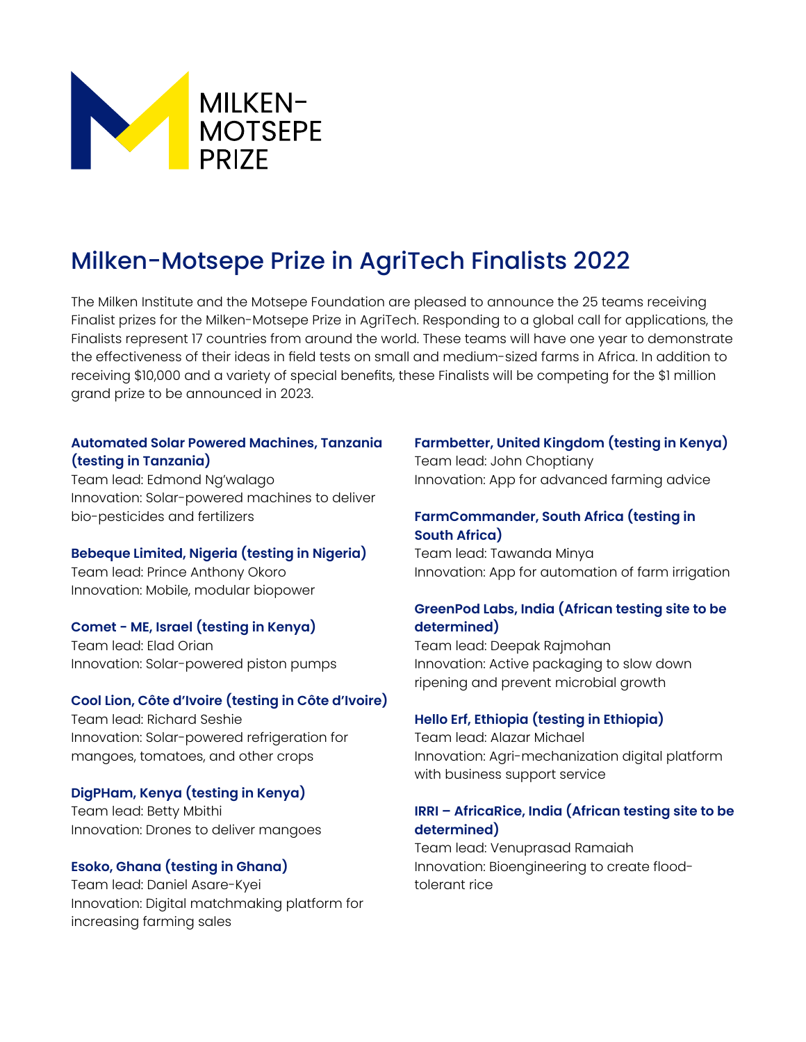

# Milken-Motsepe Prize in AgriTech Finalists 2022

The Milken Institute and the Motsepe Foundation are pleased to announce the 25 teams receiving Finalist prizes for the Milken-Motsepe Prize in AgriTech. Responding to a global call for applications, the Finalists represent 17 countries from around the world. These teams will have one year to demonstrate the effectiveness of their ideas in field tests on small and medium-sized farms in Africa. In addition to receiving \$10,000 and a variety of special benefits, these Finalists will be competing for the \$1 million grand prize to be announced in 2023.

## **Automated Solar Powered Machines, Tanzania (testing in Tanzania)**

Team lead: Edmond Ng'walago Innovation: Solar-powered machines to deliver bio-pesticides and fertilizers

## **Bebeque Limited, Nigeria (testing in Nigeria)**

Team lead: Prince Anthony Okoro Innovation: Mobile, modular biopower

## **Comet - ME, Israel (testing in Kenya)**

Team lead: Elad Orian Innovation: Solar-powered piston pumps

#### **Cool Lion, Côte d'Ivoire (testing in Côte d'Ivoire)**

Team lead: Richard Seshie Innovation: Solar-powered refrigeration for mangoes, tomatoes, and other crops

## **DigPHam, Kenya (testing in Kenya)**

Team lead: Betty Mbithi Innovation: Drones to deliver mangoes

## **Esoko, Ghana (testing in Ghana)**

Team lead: Daniel Asare-Kyei Innovation: Digital matchmaking platform for increasing farming sales

## **Farmbetter, United Kingdom (testing in Kenya)**

Team lead: John Choptiany Innovation: App for advanced farming advice

## **FarmCommander, South Africa (testing in South Africa)**

Team lead: Tawanda Minya Innovation: App for automation of farm irrigation

## **GreenPod Labs, India (African testing site to be determined)**

Team lead: Deepak Rajmohan Innovation: Active packaging to slow down ripening and prevent microbial growth

## **Hello Erf, Ethiopia (testing in Ethiopia)**

Team lead: Alazar Michael Innovation: Agri-mechanization digital platform with business support service

## **IRRI – AfricaRice, India (African testing site to be determined)**

Team lead: Venuprasad Ramaiah Innovation: Bioengineering to create floodtolerant rice